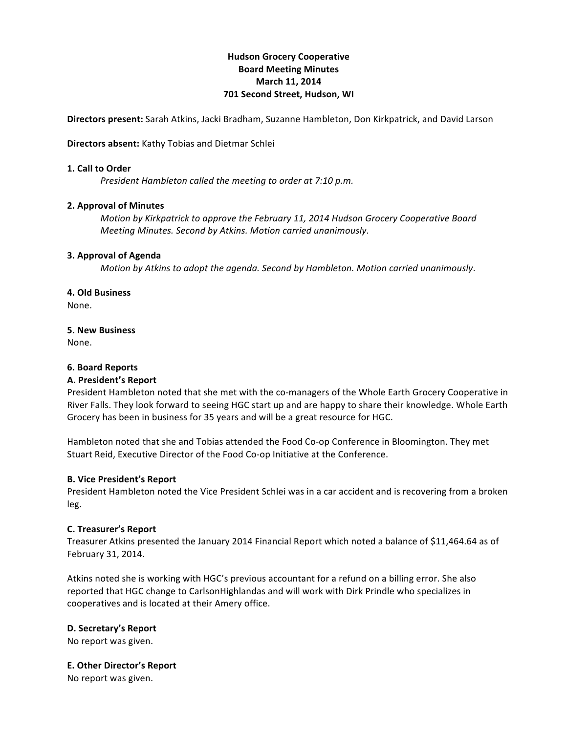# **Hudson'Grocery'Cooperative Board'Meeting'Minutes March** 11, 2014 **701 Second Street, Hudson, WI**

**Directors present:** Sarah Atkins, Jacki Bradham, Suzanne Hambleton, Don Kirkpatrick, and David Larson

**Directors absent:** Kathy Tobias and Dietmar Schlei

### **1. Call to Order**

*President Hambleton called the meeting to order at 7:10 p.m.* 

## **2. Approval of Minutes**

*Motion by Kirkpatrick to approve the February 11, 2014 Hudson Grocery Cooperative Board Meeting!Minutes.!Second!by!Atkins.!Motion!carried!unanimously*.

## **3. Approval of Agenda**

*Motion by Atkins to adopt the agenda. Second by Hambleton. Motion carried unanimously.* 

## **4. Old'Business**

None.

## **5.'New'Business'**

None.

## **6.'Board'Reports**

#### **A.'President's'Report**

President Hambleton noted that she met with the co-managers of the Whole Earth Grocery Cooperative in River Falls. They look forward to seeing HGC start up and are happy to share their knowledge. Whole Earth Grocery has been in business for 35 years and will be a great resource for HGC.

Hambleton noted that she and Tobias attended the Food Co-op Conference in Bloomington. They met Stuart Reid, Executive Director of the Food Co-op Initiative at the Conference.

#### **B.'Vice'President's Report**

President Hambleton noted the Vice President Schlei was in a car accident and is recovering from a broken leg.

## **C.'Treasurer's'Report**

Treasurer Atkins presented the January 2014 Financial Report which noted a balance of \$11,464.64 as of February!31, 2014.

Atkins noted she is working with HGC's previous accountant for a refund on a billing error. She also reported that HGC change to CarlsonHighlandas and will work with Dirk Prindle who specializes in cooperatives and is located at their Amery office.

## **D. Secretary's Report**

No report was given.

#### **E. Other Director's Report**

No report was given.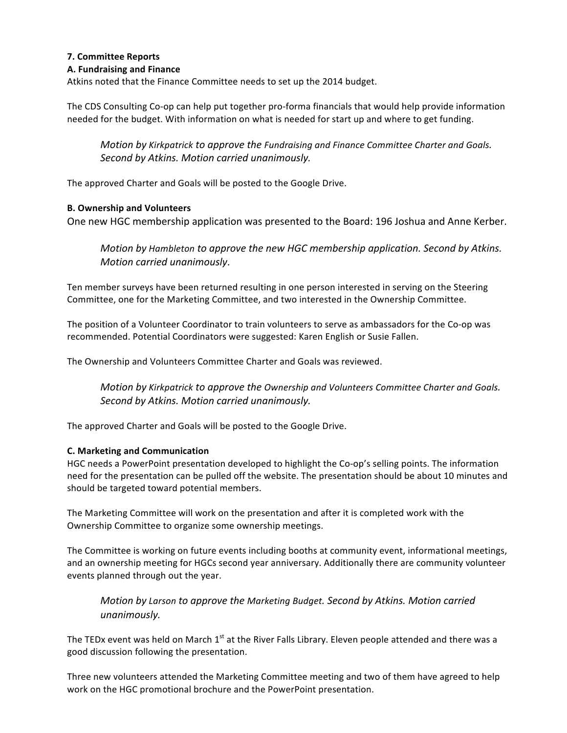# **7.'Committee'Reports**

## **A.'Fundraising and'Finance'**

Atkins noted that the Finance Committee needs to set up the 2014 budget.

The CDS Consulting Co-op can help put together pro-forma financials that would help provide information needed for the budget. With information on what is needed for start up and where to get funding.

*Motion by Kirkpatrick to approve the Fundraising and Finance Committee Charter and Goals.* Second by Atkins. Motion carried unanimously.

The approved Charter and Goals will be posted to the Google Drive.

## **B.'Ownership and'Volunteers**

One new HGC membership application was presented to the Board: 196 Joshua and Anne Kerber.

*Motion by Hambleton to approve the new HGC membership application. Second by Atkins. Motion!carried!unanimously*.

Ten member surveys have been returned resulting in one person interested in serving on the Steering Committee, one for the Marketing Committee, and two interested in the Ownership Committee.

The position of a Volunteer Coordinator to train volunteers to serve as ambassadors for the Co-op was recommended. Potential Coordinators were suggested: Karen English or Susie Fallen.

The Ownership and Volunteers Committee Charter and Goals was reviewed.

*Motion by Kirkpatrick to approve the Ownership and Volunteers Committee Charter and Goals. Second!by!Atkins.!Motion!carried!unanimously.*

The approved Charter and Goals will be posted to the Google Drive.

#### **C.'Marketing'and'Communication**

HGC needs a PowerPoint presentation developed to highlight the Co-op's selling points. The information need for the presentation can be pulled off the website. The presentation should be about 10 minutes and should be targeted toward potential members.

The Marketing Committee will work on the presentation and after it is completed work with the Ownership Committee to organize some ownership meetings.

The Committee is working on future events including booths at community event, informational meetings, and an ownership meeting for HGCs second year anniversary. Additionally there are community volunteer events planned through out the year.

*Motion by Larson to approve the Marketing Budget. Second by Atkins. Motion carried unanimously.*

The TEDx event was held on March 1<sup>st</sup> at the River Falls Library. Eleven people attended and there was a good discussion following the presentation.

Three new volunteers attended the Marketing Committee meeting and two of them have agreed to help work on the HGC promotional brochure and the PowerPoint presentation.